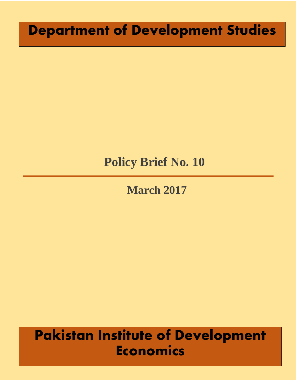# **Department of Development Studies**

# **Policy Brief No. 10**

**March 2017**

# **Pakistan Institute of Development Economics**